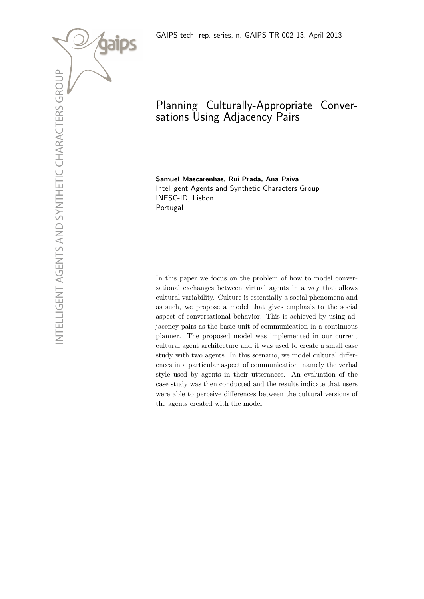

# Planning Culturally-Appropriate Conversations Using Adjacency Pairs

Samuel Mascarenhas, Rui Prada, Ana Paiva Intelligent Agents and Synthetic Characters Group INESC-ID, Lisbon Portugal

In this paper we focus on the problem of how to model conversational exchanges between virtual agents in a way that allows cultural variability. Culture is essentially a social phenomena and as such, we propose a model that gives emphasis to the social aspect of conversational behavior. This is achieved by using adjacency pairs as the basic unit of communication in a continuous planner. The proposed model was implemented in our current cultural agent architecture and it was used to create a small case study with two agents. In this scenario, we model cultural differences in a particular aspect of communication, namely the verbal style used by agents in their utterances. An evaluation of the case study was then conducted and the results indicate that users were able to perceive differences between the cultural versions of the agents created with the model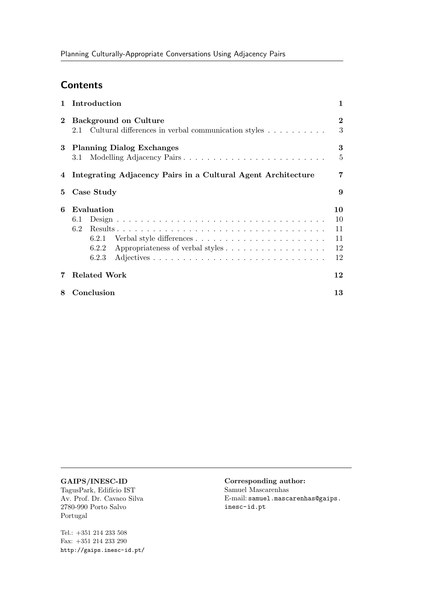# **Contents**

| $\mathbf{1}$ | Introduction                                                                               | $\mathbf{1}$                     |
|--------------|--------------------------------------------------------------------------------------------|----------------------------------|
| $\bf{2}$     | <b>Background on Culture</b><br>Cultural differences in verbal communication styles<br>2.1 | $\bf{2}$<br>3                    |
| 3            | <b>Planning Dialog Exchanges</b><br>Modelling Adjacency Pairs<br>3.1                       | 3<br>5                           |
|              | 4 Integrating Adjacency Pairs in a Cultural Agent Architecture                             | 7                                |
| 5            | Case Study                                                                                 | 9                                |
| 6            | Evaluation<br>6.1<br>6.2<br>6.2.1<br>Appropriateness of verbal styles<br>6.2.2<br>6.2.3    | 10<br>10<br>11<br>11<br>12<br>12 |
| 7            | <b>Related Work</b>                                                                        | 12                               |
| 8            | Conclusion                                                                                 | 13                               |

### GAIPS/INESC-ID

TagusPark, Edifício IST Av. Prof. Dr. Cavaco Silva 2780-990 Porto Salvo Portugal

Tel.:  $+351\ 214\ 233\ 508$ Fax: +351 214 233 290 http://gaips.inesc-id.pt/

### Corresponding author: Samuel Mascarenhas

E-mail: samuel.mascarenhas@gaips. inesc-id.pt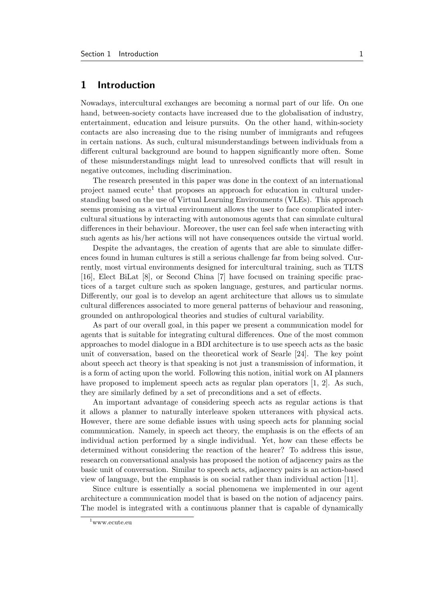# 1 Introduction

Nowadays, intercultural exchanges are becoming a normal part of our life. On one hand, between-society contacts have increased due to the globalisation of industry, entertainment, education and leisure pursuits. On the other hand, within-society contacts are also increasing due to the rising number of immigrants and refugees in certain nations. As such, cultural misunderstandings between individuals from a different cultural background are bound to happen significantly more often. Some of these misunderstandings might lead to unresolved conflicts that will result in negative outcomes, including discrimination.

The research presented in this paper was done in the context of an international project named ecute<sup>1</sup> that proposes an approach for education in cultural understanding based on the use of Virtual Learning Environments (VLEs). This approach seems promising as a virtual environment allows the user to face complicated intercultural situations by interacting with autonomous agents that can simulate cultural differences in their behaviour. Moreover, the user can feel safe when interacting with such agents as his/her actions will not have consequences outside the virtual world.

Despite the advantages, the creation of agents that are able to simulate differences found in human cultures is still a serious challenge far from being solved. Currently, most virtual environments designed for intercultural training, such as TLTS [16], Elect BiLat [8], or Second China [7] have focused on training specific practices of a target culture such as spoken language, gestures, and particular norms. Differently, our goal is to develop an agent architecture that allows us to simulate cultural differences associated to more general patterns of behaviour and reasoning, grounded on anthropological theories and studies of cultural variability.

As part of our overall goal, in this paper we present a communication model for agents that is suitable for integrating cultural differences. One of the most common approaches to model dialogue in a BDI architecture is to use speech acts as the basic unit of conversation, based on the theoretical work of Searle [24]. The key point about speech act theory is that speaking is not just a transmission of information, it is a form of acting upon the world. Following this notion, initial work on AI planners have proposed to implement speech acts as regular plan operators [1, 2]. As such, they are similarly defined by a set of preconditions and a set of effects.

An important advantage of considering speech acts as regular actions is that it allows a planner to naturally interleave spoken utterances with physical acts. However, there are some defiable issues with using speech acts for planning social communication. Namely, in speech act theory, the emphasis is on the effects of an individual action performed by a single individual. Yet, how can these effects be determined without considering the reaction of the hearer? To address this issue, research on conversational analysis has proposed the notion of adjacency pairs as the basic unit of conversation. Similar to speech acts, adjacency pairs is an action-based view of language, but the emphasis is on social rather than individual action [11].

Since culture is essentially a social phenomena we implemented in our agent architecture a communication model that is based on the notion of adjacency pairs. The model is integrated with a continuous planner that is capable of dynamically

 $1$ www.ecute.eu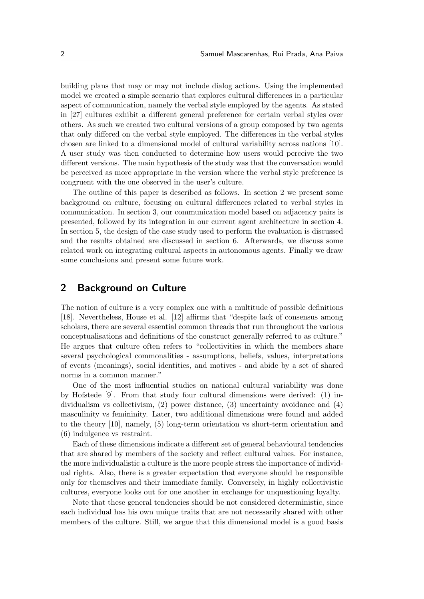building plans that may or may not include dialog actions. Using the implemented model we created a simple scenario that explores cultural differences in a particular aspect of communication, namely the verbal style employed by the agents. As stated in [27] cultures exhibit a different general preference for certain verbal styles over others. As such we created two cultural versions of a group composed by two agents that only differed on the verbal style employed. The differences in the verbal styles chosen are linked to a dimensional model of cultural variability across nations [10]. A user study was then conducted to determine how users would perceive the two different versions. The main hypothesis of the study was that the conversation would be perceived as more appropriate in the version where the verbal style preference is congruent with the one observed in the user's culture.

The outline of this paper is described as follows. In section 2 we present some background on culture, focusing on cultural differences related to verbal styles in communication. In section 3, our communication model based on adjacency pairs is presented, followed by its integration in our current agent architecture in section 4. In section 5, the design of the case study used to perform the evaluation is discussed and the results obtained are discussed in section 6. Afterwards, we discuss some related work on integrating cultural aspects in autonomous agents. Finally we draw some conclusions and present some future work.

# 2 Background on Culture

The notion of culture is a very complex one with a multitude of possible definitions [18]. Nevertheless, House et al. [12] affirms that "despite lack of consensus among scholars, there are several essential common threads that run throughout the various conceptualisations and definitions of the construct generally referred to as culture." He argues that culture often refers to "collectivities in which the members share several psychological commonalities - assumptions, beliefs, values, interpretations of events (meanings), social identities, and motives - and abide by a set of shared norms in a common manner."

One of the most influential studies on national cultural variability was done by Hofstede [9]. From that study four cultural dimensions were derived: (1) individualism vs collectivism, (2) power distance, (3) uncertainty avoidance and (4) masculinity vs femininity. Later, two additional dimensions were found and added to the theory [10], namely, (5) long-term orientation vs short-term orientation and (6) indulgence vs restraint.

Each of these dimensions indicate a different set of general behavioural tendencies that are shared by members of the society and reflect cultural values. For instance, the more individualistic a culture is the more people stress the importance of individual rights. Also, there is a greater expectation that everyone should be responsible only for themselves and their immediate family. Conversely, in highly collectivistic cultures, everyone looks out for one another in exchange for unquestioning loyalty.

Note that these general tendencies should be not considered deterministic, since each individual has his own unique traits that are not necessarily shared with other members of the culture. Still, we argue that this dimensional model is a good basis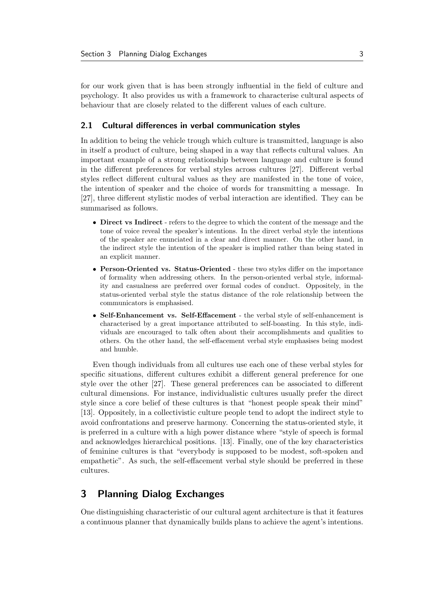for our work given that is has been strongly influential in the field of culture and psychology. It also provides us with a framework to characterise cultural aspects of behaviour that are closely related to the different values of each culture.

### 2.1 Cultural differences in verbal communication styles

In addition to being the vehicle trough which culture is transmitted, language is also in itself a product of culture, being shaped in a way that reflects cultural values. An important example of a strong relationship between language and culture is found in the different preferences for verbal styles across cultures [27]. Different verbal styles reflect different cultural values as they are manifested in the tone of voice, the intention of speaker and the choice of words for transmitting a message. In [27], three different stylistic modes of verbal interaction are identified. They can be summarised as follows.

- Direct vs Indirect refers to the degree to which the content of the message and the tone of voice reveal the speaker's intentions. In the direct verbal style the intentions of the speaker are enunciated in a clear and direct manner. On the other hand, in the indirect style the intention of the speaker is implied rather than being stated in an explicit manner.
- Person-Oriented vs. Status-Oriented these two styles differ on the importance of formality when addressing others. In the person-oriented verbal style, informality and casualness are preferred over formal codes of conduct. Oppositely, in the status-oriented verbal style the status distance of the role relationship between the communicators is emphasised.
- Self-Enhancement vs. Self-Effacement the verbal style of self-enhancement is characterised by a great importance attributed to self-boasting. In this style, individuals are encouraged to talk often about their accomplishments and qualities to others. On the other hand, the self-effacement verbal style emphasises being modest and humble.

Even though individuals from all cultures use each one of these verbal styles for specific situations, different cultures exhibit a different general preference for one style over the other [27]. These general preferences can be associated to different cultural dimensions. For instance, individualistic cultures usually prefer the direct style since a core belief of these cultures is that "honest people speak their mind" [13]. Oppositely, in a collectivistic culture people tend to adopt the indirect style to avoid confrontations and preserve harmony. Concerning the status-oriented style, it is preferred in a culture with a high power distance where "style of speech is formal and acknowledges hierarchical positions. [13]. Finally, one of the key characteristics of feminine cultures is that "everybody is supposed to be modest, soft-spoken and empathetic". As such, the self-effacement verbal style should be preferred in these cultures.

# 3 Planning Dialog Exchanges

One distinguishing characteristic of our cultural agent architecture is that it features a continuous planner that dynamically builds plans to achieve the agent's intentions.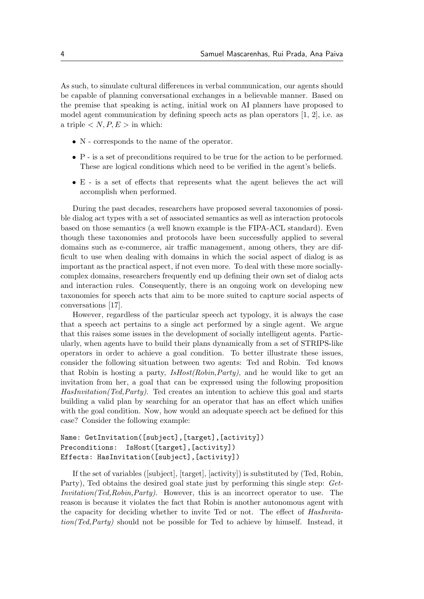As such, to simulate cultural differences in verbal communication, our agents should be capable of planning conversational exchanges in a believable manner. Based on the premise that speaking is acting, initial work on AI planners have proposed to model agent communication by defining speech acts as plan operators [1, 2], i.e. as a triple  $\langle N, P, E \rangle$  in which:

- N corresponds to the name of the operator.
- P is a set of preconditions required to be true for the action to be performed. These are logical conditions which need to be verified in the agent's beliefs.
- E is a set of effects that represents what the agent believes the act will accomplish when performed.

During the past decades, researchers have proposed several taxonomies of possible dialog act types with a set of associated semantics as well as interaction protocols based on those semantics (a well known example is the FIPA-ACL standard). Even though these taxonomies and protocols have been successfully applied to several domains such as e-commerce, air traffic management, among others, they are difficult to use when dealing with domains in which the social aspect of dialog is as important as the practical aspect, if not even more. To deal with these more sociallycomplex domains, researchers frequently end up defining their own set of dialog acts and interaction rules. Consequently, there is an ongoing work on developing new taxonomies for speech acts that aim to be more suited to capture social aspects of conversations [17].

However, regardless of the particular speech act typology, it is always the case that a speech act pertains to a single act performed by a single agent. We argue that this raises some issues in the development of socially intelligent agents. Particularly, when agents have to build their plans dynamically from a set of STRIPS-like operators in order to achieve a goal condition. To better illustrate these issues, consider the following situation between two agents: Ted and Robin. Ted knows that Robin is hosting a party,  $IsHost(Robin, Party)$ , and he would like to get an invitation from her, a goal that can be expressed using the following proposition HasInvitation(Ted,Party). Ted creates an intention to achieve this goal and starts building a valid plan by searching for an operator that has an effect which unifies with the goal condition. Now, how would an adequate speech act be defined for this case? Consider the following example:

### Name: GetInvitation([subject],[target],[activity]) Preconditions: IsHost([target],[activity]) Effects: HasInvitation([subject],[activity])

If the set of variables ([subject], [target], [activity]) is substituted by (Ted, Robin, Party), Ted obtains the desired goal state just by performing this single step: Get-Invitation(Ted,Robin,Party). However, this is an incorrect operator to use. The reason is because it violates the fact that Robin is another autonomous agent with the capacity for deciding whether to invite Ted or not. The effect of HasInvitation(Ted,Party) should not be possible for Ted to achieve by himself. Instead, it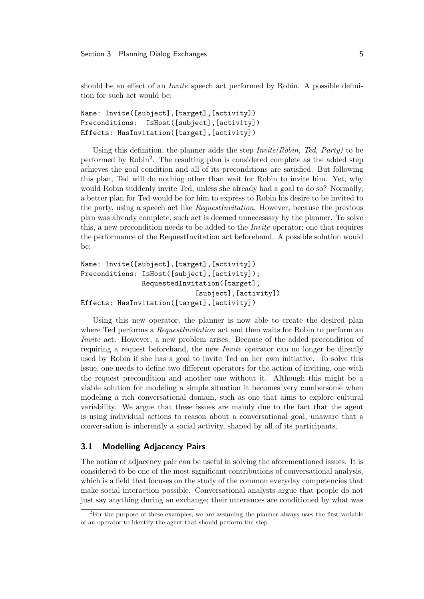should be an effect of an *Invite* speech act performed by Robin. A possible definition for such act would be:

```
Name: Invite([subject],[target],[activity])
Preconditions: IsHost([subject],[activity])
Effects: HasInvitation([target],[activity])
```
Using this definition, the planner adds the step  $Invite(Robin, Ted, Party)$  to be performed by Robin<sup>2</sup>. The resulting plan is considered complete as the added step achieves the goal condition and all of its preconditions are satisfied. But following this plan, Ted will do nothing other than wait for Robin to invite him. Yet, why would Robin suddenly invite Ted, unless she already had a goal to do so? Normally, a better plan for Ted would be for him to express to Robin his desire to be invited to the party, using a speech act like RequestInvitation. However, because the previous plan was already complete, such act is deemed unnecessary by the planner. To solve this, a new precondition needs to be added to the Invite operator; one that requires the performance of the RequestInvitation act beforehand. A possible solution would be:

```
Name: Invite([subject],[target],[activity])
Preconditions: IsHost([subject],[activity]);
               RequestedInvitation([target],
                             [subject],[activity])
Effects: HasInvitation([target],[activity])
```
Using this new operator, the planner is now able to create the desired plan where Ted performs a *RequestInvitation* act and then waits for Robin to perform an Invite act. However, a new problem arises. Because of the added precondition of requiring a request beforehand, the new *Invite* operator can no longer be directly used by Robin if she has a goal to invite Ted on her own initiative. To solve this issue, one needs to define two different operators for the action of inviting, one with the request precondition and another one without it. Although this might be a viable solution for modeling a simple situation it becomes very cumbersome when modeling a rich conversational domain, such as one that aims to explore cultural variability. We argue that these issues are mainly due to the fact that the agent is using individual actions to reason about a conversational goal, unaware that a conversation is inherently a social activity, shaped by all of its participants.

### 3.1 Modelling Adjacency Pairs

The notion of adjacency pair can be useful in solving the aforementioned issues. It is considered to be one of the most significant contributions of conversational analysis, which is a field that focuses on the study of the common everyday competencies that make social interaction possible. Conversational analysts argue that people do not just say anything during an exchange; their utterances are conditioned by what was

<sup>2</sup>For the purpose of these examples, we are assuming the planner always uses the first variable of an operator to identify the agent that should perform the step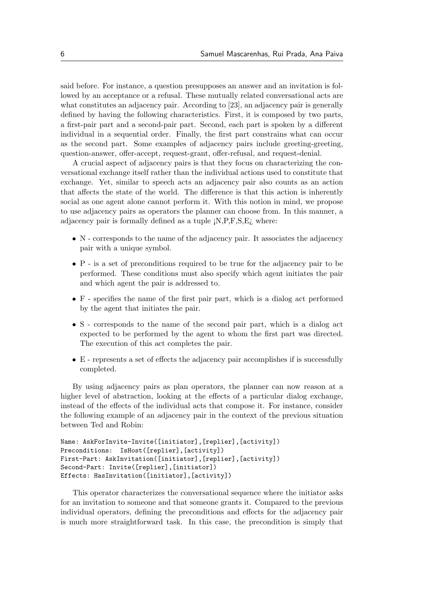said before. For instance, a question presupposes an answer and an invitation is followed by an acceptance or a refusal. These mutually related conversational acts are what constitutes an adjacency pair. According to [23], an adjacency pair is generally defined by having the following characteristics. First, it is composed by two parts, a first-pair part and a second-pair part. Second, each part is spoken by a different individual in a sequential order. Finally, the first part constrains what can occur as the second part. Some examples of adjacency pairs include greeting-greeting, question-answer, offer-accept, request-grant, offer-refusal, and request-denial.

A crucial aspect of adjacency pairs is that they focus on characterizing the conversational exchange itself rather than the individual actions used to constitute that exchange. Yet, similar to speech acts an adjacency pair also counts as an action that affects the state of the world. The difference is that this action is inherently social as one agent alone cannot perform it. With this notion in mind, we propose to use adjacency pairs as operators the planner can choose from. In this manner, a adjacency pair is formally defined as a tuple  $iN, P, F, S, E$ *i*, where:

- N corresponds to the name of the adjacency pair. It associates the adjacency pair with a unique symbol.
- P is a set of preconditions required to be true for the adjacency pair to be performed. These conditions must also specify which agent initiates the pair and which agent the pair is addressed to.
- F specifies the name of the first pair part, which is a dialog act performed by the agent that initiates the pair.
- S corresponds to the name of the second pair part, which is a dialog act expected to be performed by the agent to whom the first part was directed. The execution of this act completes the pair.
- E represents a set of effects the adjacency pair accomplishes if is successfully completed.

By using adjacency pairs as plan operators, the planner can now reason at a higher level of abstraction, looking at the effects of a particular dialog exchange, instead of the effects of the individual acts that compose it. For instance, consider the following example of an adjacency pair in the context of the previous situation between Ted and Robin:

```
Name: AskForInvite-Invite([initiator],[replier],[activity])
Preconditions: IsHost([replier], [activity])
First-Part: AskInvitation([initiator],[replier],[activity])
Second-Part: Invite([replier],[initiator])
Effects: HasInvitation([initiator],[activity])
```
This operator characterizes the conversational sequence where the initiator asks for an invitation to someone and that someone grants it. Compared to the previous individual operators, defining the preconditions and effects for the adjacency pair is much more straightforward task. In this case, the precondition is simply that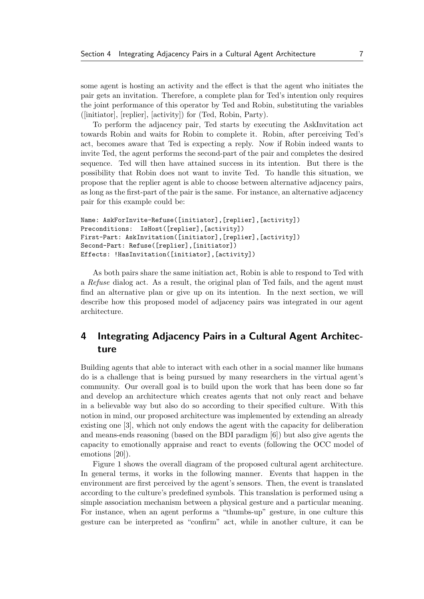some agent is hosting an activity and the effect is that the agent who initiates the pair gets an invitation. Therefore, a complete plan for Ted's intention only requires the joint performance of this operator by Ted and Robin, substituting the variables ([initiator], [replier], [activity]) for (Ted, Robin, Party).

To perform the adjacency pair, Ted starts by executing the AskInvitation act towards Robin and waits for Robin to complete it. Robin, after perceiving Ted's act, becomes aware that Ted is expecting a reply. Now if Robin indeed wants to invite Ted, the agent performs the second-part of the pair and completes the desired sequence. Ted will then have attained success in its intention. But there is the possibility that Robin does not want to invite Ted. To handle this situation, we propose that the replier agent is able to choose between alternative adjacency pairs, as long as the first-part of the pair is the same. For instance, an alternative adjacency pair for this example could be:

```
Name: AskForInvite-Refuse([initiator],[replier],[activity])
Preconditions: IsHost([replier], [activity])
First-Part: AskInvitation([initiator],[replier],[activity])
Second-Part: Refuse([replier],[initiator])
Effects: !HasInvitation([initiator],[activity])
```
As both pairs share the same initiation act, Robin is able to respond to Ted with a Refuse dialog act. As a result, the original plan of Ted fails, and the agent must find an alternative plan or give up on its intention. In the next section, we will describe how this proposed model of adjacency pairs was integrated in our agent architecture.

# 4 Integrating Adjacency Pairs in a Cultural Agent Architecture

Building agents that able to interact with each other in a social manner like humans do is a challenge that is being pursued by many researchers in the virtual agent's community. Our overall goal is to build upon the work that has been done so far and develop an architecture which creates agents that not only react and behave in a believable way but also do so according to their specified culture. With this notion in mind, our proposed architecture was implemented by extending an already existing one [3], which not only endows the agent with the capacity for deliberation and means-ends reasoning (based on the BDI paradigm [6]) but also give agents the capacity to emotionally appraise and react to events (following the OCC model of emotions [20]).

Figure 1 shows the overall diagram of the proposed cultural agent architecture. In general terms, it works in the following manner. Events that happen in the environment are first perceived by the agent's sensors. Then, the event is translated according to the culture's predefined symbols. This translation is performed using a simple association mechanism between a physical gesture and a particular meaning. For instance, when an agent performs a "thumbs-up" gesture, in one culture this gesture can be interpreted as "confirm" act, while in another culture, it can be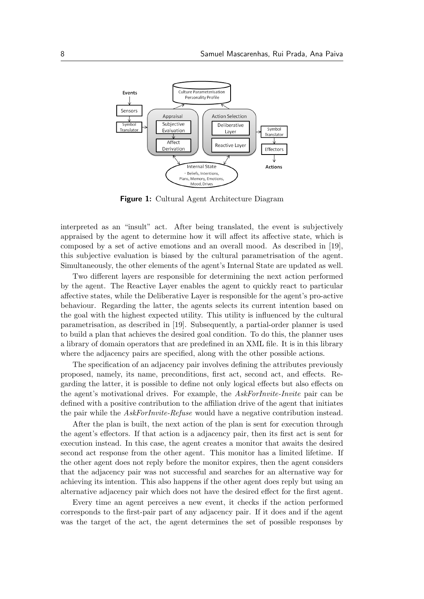

**Figure 1:** Cultural Agent Architecture Diagram

interpreted as an "insult" act. After being translated, the event is subjectively appraised by the agent to determine how it will affect its affective state, which is composed by a set of active emotions and an overall mood. As described in [19], this subjective evaluation is biased by the cultural parametrisation of the agent. Simultaneously, the other elements of the agent's Internal State are updated as well.

Two different layers are responsible for determining the next action performed by the agent. The Reactive Layer enables the agent to quickly react to particular affective states, while the Deliberative Layer is responsible for the agent's pro-active behaviour. Regarding the latter, the agents selects its current intention based on the goal with the highest expected utility. This utility is influenced by the cultural parametrisation, as described in [19]. Subsequently, a partial-order planner is used to build a plan that achieves the desired goal condition. To do this, the planner uses a library of domain operators that are predefined in an XML file. It is in this library where the adjacency pairs are specified, along with the other possible actions.

The specification of an adjacency pair involves defining the attributes previously proposed, namely, its name, preconditions, first act, second act, and effects. Regarding the latter, it is possible to define not only logical effects but also effects on the agent's motivational drives. For example, the AskForInvite-Invite pair can be defined with a positive contribution to the affiliation drive of the agent that initiates the pair while the *AskForInvite-Refuse* would have a negative contribution instead.

After the plan is built, the next action of the plan is sent for execution through the agent's effectors. If that action is a adjacency pair, then its first act is sent for execution instead. In this case, the agent creates a monitor that awaits the desired second act response from the other agent. This monitor has a limited lifetime. If the other agent does not reply before the monitor expires, then the agent considers that the adjacency pair was not successful and searches for an alternative way for achieving its intention. This also happens if the other agent does reply but using an alternative adjacency pair which does not have the desired effect for the first agent.

Every time an agent perceives a new event, it checks if the action performed corresponds to the first-pair part of any adjacency pair. If it does and if the agent was the target of the act, the agent determines the set of possible responses by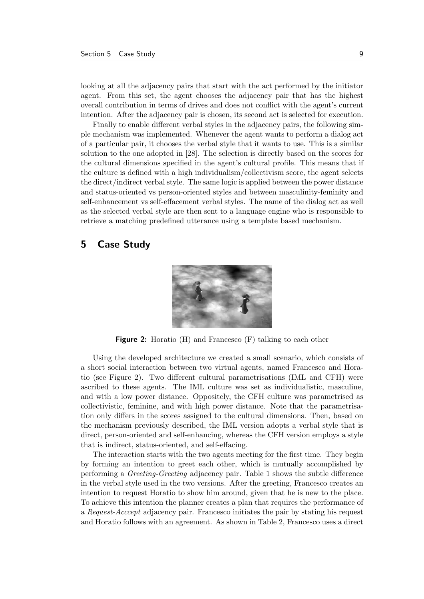looking at all the adjacency pairs that start with the act performed by the initiator agent. From this set, the agent chooses the adjacency pair that has the highest overall contribution in terms of drives and does not conflict with the agent's current intention. After the adjacency pair is chosen, its second act is selected for execution.

Finally to enable different verbal styles in the adjacency pairs, the following simple mechanism was implemented. Whenever the agent wants to perform a dialog act of a particular pair, it chooses the verbal style that it wants to use. This is a similar solution to the one adopted in [28]. The selection is directly based on the scores for the cultural dimensions specified in the agent's cultural profile. This means that if the culture is defined with a high individualism/collectivism score, the agent selects the direct/indirect verbal style. The same logic is applied between the power distance and status-oriented vs person-oriented styles and between masculinity-feminity and self-enhancement vs self-effacement verbal styles. The name of the dialog act as well as the selected verbal style are then sent to a language engine who is responsible to retrieve a matching predefined utterance using a template based mechanism.

### 5 Case Study



Figure 2: Horatio (H) and Francesco (F) talking to each other

Using the developed architecture we created a small scenario, which consists of a short social interaction between two virtual agents, named Francesco and Horatio (see Figure 2). Two different cultural parametrisations (IML and CFH) were ascribed to these agents. The IML culture was set as individualistic, masculine, and with a low power distance. Oppositely, the CFH culture was parametrised as collectivistic, feminine, and with high power distance. Note that the parametrisation only differs in the scores assigned to the cultural dimensions. Then, based on the mechanism previously described, the IML version adopts a verbal style that is direct, person-oriented and self-enhancing, whereas the CFH version employs a style that is indirect, status-oriented, and self-effacing.

The interaction starts with the two agents meeting for the first time. They begin by forming an intention to greet each other, which is mutually accomplished by performing a Greeting-Greeting adjacency pair. Table 1 shows the subtle difference in the verbal style used in the two versions. After the greeting, Francesco creates an intention to request Horatio to show him around, given that he is new to the place. To achieve this intention the planner creates a plan that requires the performance of a Request-Acccept adjacency pair. Francesco initiates the pair by stating his request and Horatio follows with an agreement. As shown in Table 2, Francesco uses a direct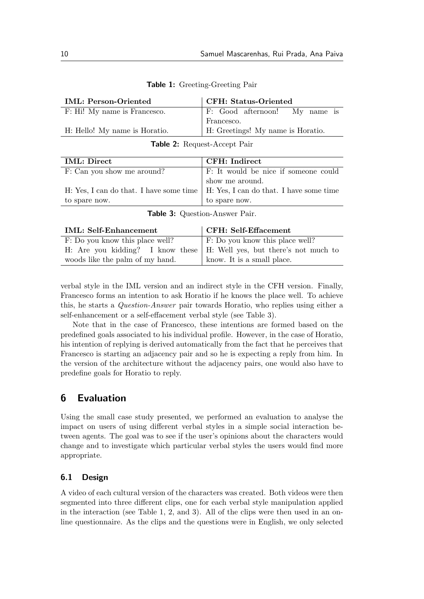| <b>IML: Person-Oriented</b>   | CFH: Status-Oriented              |
|-------------------------------|-----------------------------------|
| F: Hi! My name is Francesco.  | F: Good afternoon! My name is     |
|                               | Francesco.                        |
| H: Hello! My name is Horatio. | H: Greetings! My name is Horatio. |
|                               |                                   |

Table 1: Greeting-Greeting Pair

| Table 2: Request-Accept Pair |  |  |  |  |
|------------------------------|--|--|--|--|
|------------------------------|--|--|--|--|

| <b>IML</b> : Direct        | CFH: Indirect                                                                     |
|----------------------------|-----------------------------------------------------------------------------------|
| F: Can you show me around? | F: It would be nice if someone could                                              |
|                            | show me around.                                                                   |
|                            | H: Yes, I can do that. I have some time   H: Yes, I can do that. I have some time |
| to spare now.              | to spare now.                                                                     |
|                            |                                                                                   |

|  |  | Table 3: Question-Answer Pair. |  |
|--|--|--------------------------------|--|
|--|--|--------------------------------|--|

| <b>IML: Self-Enhancement</b>                                                  | CFH: Self-Effacement            |
|-------------------------------------------------------------------------------|---------------------------------|
| F: Do you know this place well?                                               | F: Do you know this place well? |
| H: Are you kidding? I know these $\vert$ H: Well yes, but there's not much to |                                 |
| woods like the palm of my hand.                                               | know. It is a small place.      |
|                                                                               |                                 |

verbal style in the IML version and an indirect style in the CFH version. Finally, Francesco forms an intention to ask Horatio if he knows the place well. To achieve this, he starts a Question-Answer pair towards Horatio, who replies using either a self-enhancement or a self-effacement verbal style (see Table 3).

Note that in the case of Francesco, these intentions are formed based on the predefined goals associated to his individual profile. However, in the case of Horatio, his intention of replying is derived automatically from the fact that he perceives that Francesco is starting an adjacency pair and so he is expecting a reply from him. In the version of the architecture without the adjacency pairs, one would also have to predefine goals for Horatio to reply.

# 6 Evaluation

Using the small case study presented, we performed an evaluation to analyse the impact on users of using different verbal styles in a simple social interaction between agents. The goal was to see if the user's opinions about the characters would change and to investigate which particular verbal styles the users would find more appropriate.

### 6.1 Design

A video of each cultural version of the characters was created. Both videos were then segmented into three different clips, one for each verbal style manipulation applied in the interaction (see Table 1, 2, and 3). All of the clips were then used in an online questionnaire. As the clips and the questions were in English, we only selected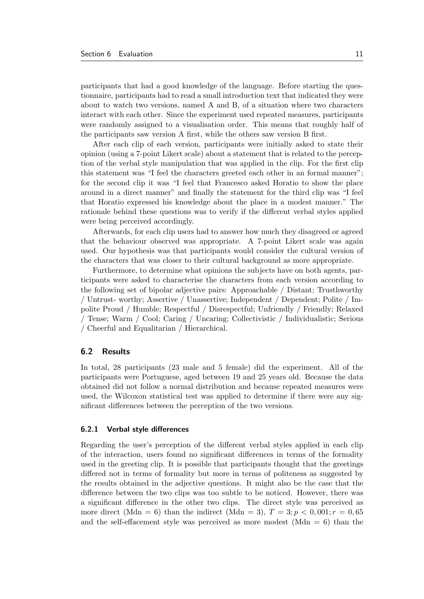participants that had a good knowledge of the language. Before starting the questionnaire, participants had to read a small introduction text that indicated they were about to watch two versions, named A and B, of a situation where two characters interact with each other. Since the experiment used repeated measures, participants were randomly assigned to a visualisation order. This means that roughly half of the participants saw version A first, while the others saw version B first.

After each clip of each version, participants were initially asked to state their opinion (using a 7-point Likert scale) about a statement that is related to the perception of the verbal style manipulation that was applied in the clip. For the first clip this statement was "I feel the characters greeted each other in an formal manner"; for the second clip it was "I feel that Francesco asked Horatio to show the place around in a direct manner" and finally the statement for the third clip was "I feel that Horatio expressed his knowledge about the place in a modest manner." The rationale behind these questions was to verify if the different verbal styles applied were being perceived accordingly.

Afterwards, for each clip users had to answer how much they disagreed or agreed that the behaviour observed was appropriate. A 7-point Likert scale was again used. Our hypothesis was that participants would consider the cultural version of the characters that was closer to their cultural background as more appropriate.

Furthermore, to determine what opinions the subjects have on both agents, participants were asked to characterise the characters from each version according to the following set of bipolar adjective pairs: Approachable / Distant; Trusthworthy / Untrust- worthy; Assertive / Unassertive; Independent / Dependent; Polite / Impolite Proud / Humble; Respectful / Disrespectful; Unfriendly / Friendly; Relaxed / Tense; Warm / Cool; Caring / Uncaring; Collectivistic / Individualistic; Serious / Cheerful and Equalitarian / Hierarchical.

### 6.2 Results

In total, 28 participants (23 male and 5 female) did the experiment. All of the participants were Portuguese, aged between 19 and 25 years old. Because the data obtained did not follow a normal distribution and because repeated measures were used, the Wilcoxon statistical test was applied to determine if there were any significant differences between the perception of the two versions.

#### 6.2.1 Verbal style differences

Regarding the user's perception of the different verbal styles applied in each clip of the interaction, users found no significant differences in terms of the formality used in the greeting clip. It is possible that participants thought that the greetings differed not in terms of formality but more in terms of politeness as suggested by the results obtained in the adjective questions. It might also be the case that the difference between the two clips was too subtle to be noticed. However, there was a significant difference in the other two clips. The direct style was perceived as more direct (Mdn = 6) than the indirect (Mdn = 3),  $T = 3; p < 0,001; r = 0,65$ and the self-effacement style was perceived as more modest  $(Mdn = 6)$  than the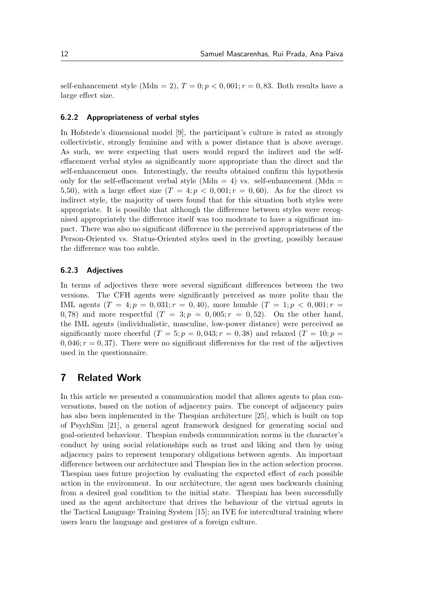self-enhancement style (Mdn = 2),  $T = 0$ ;  $p < 0$ , 001;  $r = 0$ , 83. Both results have a large effect size.

#### 6.2.2 Appropriateness of verbal styles

In Hofstede's dimensional model [9], the participant's culture is rated as strongly collectivistic, strongly feminine and with a power distance that is above average. As such, we were expecting that users would regard the indirect and the selfeffacement verbal styles as significantly more appropriate than the direct and the self-enhancement ones. Interestingly, the results obtained confirm this hypothesis only for the self-effacement verbal style (Mdn = 4) vs. self-enhancement (Mdn = 5,50), with a large effect size  $(T = 4; p < 0,001; r = 0,60)$ . As for the direct vs indirect style, the majority of users found that for this situation both styles were appropriate. It is possible that although the difference between styles were recognised appropriately the difference itself was too moderate to have a significant impact. There was also no significant difference in the perceived appropriateness of the Person-Oriented vs. Status-Oriented styles used in the greeting, possibly because the difference was too subtle.

#### 6.2.3 Adjectives

In terms of adjectives there were several significant differences between the two versions. The CFH agents were significantly perceived as more polite than the IML agents  $(T = 4; p = 0,031; r = 0,40)$ , more humble  $(T = 1; p < 0,001; r =$ 0, 78) and more respectful  $(T = 3; p = 0,005; r = 0,52)$ . On the other hand, the IML agents (individualistic, masculine, low-power distance) were perceived as significantly more cheerful  $(T = 5; p = 0,043; r = 0,38)$  and relaxed  $(T = 10; p = 0,043; r = 0,043; r = 0,043; r = 0,043; r = 0,043; r = 0,043; r = 0,043; r = 0,043; r = 0,043; r = 0,043; r = 0,043; r = 0,043; r = 0,043; r = 0,043; r = 0,043; r = 0,043; r = 0,$  $0,046; r = 0,37$ . There were no significant differences for the rest of the adjectives used in the questionnaire.

# 7 Related Work

In this article we presented a communication model that allows agents to plan conversations, based on the notion of adjacency pairs. The concept of adjacency pairs has also been implemented in the Thespian architecture [25], which is built on top of PsychSim [21], a general agent framework designed for generating social and goal-oriented behaviour. Thespian embeds communication norms in the character's conduct by using social relationships such as trust and liking and then by using adjacency pairs to represent temporary obligations between agents. An important difference between our architecture and Thespian lies in the action selection process. Thespian uses future projection by evaluating the expected effect of each possible action in the environment. In our architecture, the agent uses backwards chaining from a desired goal condition to the initial state. Thespian has been successfully used as the agent architecture that drives the behaviour of the virtual agents in the Tactical Language Training System [15]; an IVE for intercultural training where users learn the language and gestures of a foreign culture.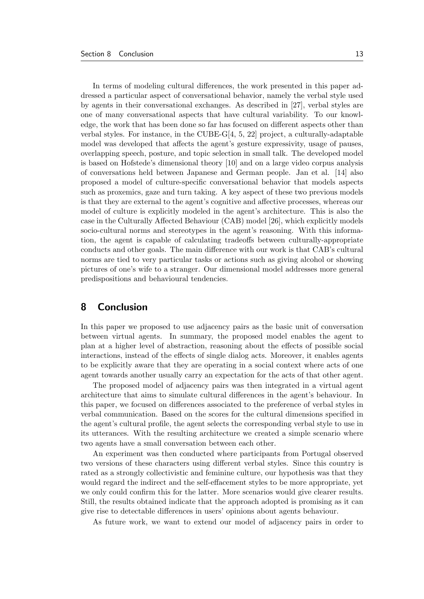In terms of modeling cultural differences, the work presented in this paper addressed a particular aspect of conversational behavior, namely the verbal style used by agents in their conversational exchanges. As described in [27], verbal styles are one of many conversational aspects that have cultural variability. To our knowledge, the work that has been done so far has focused on different aspects other than verbal styles. For instance, in the CUBE-G[4, 5, 22] project, a culturally-adaptable model was developed that affects the agent's gesture expressivity, usage of pauses, overlapping speech, posture, and topic selection in small talk. The developed model is based on Hofstede's dimensional theory [10] and on a large video corpus analysis of conversations held between Japanese and German people. Jan et al. [14] also proposed a model of culture-specific conversational behavior that models aspects such as proxemics, gaze and turn taking. A key aspect of these two previous models is that they are external to the agent's cognitive and affective processes, whereas our model of culture is explicitly modeled in the agent's architecture. This is also the case in the Culturally Affected Behaviour (CAB) model [26], which explicitly models socio-cultural norms and stereotypes in the agent's reasoning. With this information, the agent is capable of calculating tradeoffs between culturally-appropriate conducts and other goals. The main difference with our work is that CAB's cultural norms are tied to very particular tasks or actions such as giving alcohol or showing pictures of one's wife to a stranger. Our dimensional model addresses more general predispositions and behavioural tendencies.

# 8 Conclusion

In this paper we proposed to use adjacency pairs as the basic unit of conversation between virtual agents. In summary, the proposed model enables the agent to plan at a higher level of abstraction, reasoning about the effects of possible social interactions, instead of the effects of single dialog acts. Moreover, it enables agents to be explicitly aware that they are operating in a social context where acts of one agent towards another usually carry an expectation for the acts of that other agent.

The proposed model of adjacency pairs was then integrated in a virtual agent architecture that aims to simulate cultural differences in the agent's behaviour. In this paper, we focused on differences associated to the preference of verbal styles in verbal communication. Based on the scores for the cultural dimensions specified in the agent's cultural profile, the agent selects the corresponding verbal style to use in its utterances. With the resulting architecture we created a simple scenario where two agents have a small conversation between each other.

An experiment was then conducted where participants from Portugal observed two versions of these characters using different verbal styles. Since this country is rated as a strongly collectivistic and feminine culture, our hypothesis was that they would regard the indirect and the self-effacement styles to be more appropriate, yet we only could confirm this for the latter. More scenarios would give clearer results. Still, the results obtained indicate that the approach adopted is promising as it can give rise to detectable differences in users' opinions about agents behaviour.

As future work, we want to extend our model of adjacency pairs in order to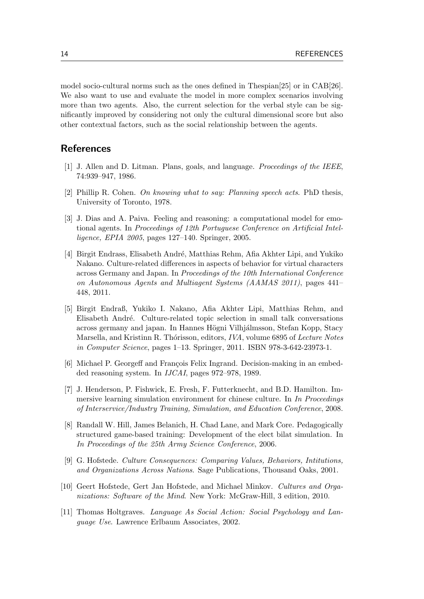model socio-cultural norms such as the ones defined in Thespian[25] or in CAB[26]. We also want to use and evaluate the model in more complex scenarios involving more than two agents. Also, the current selection for the verbal style can be significantly improved by considering not only the cultural dimensional score but also other contextual factors, such as the social relationship between the agents.

# References

- [1] J. Allen and D. Litman. Plans, goals, and language. Proceedings of the IEEE, 74:939–947, 1986.
- [2] Phillip R. Cohen. On knowing what to say: Planning speech acts. PhD thesis, University of Toronto, 1978.
- [3] J. Dias and A. Paiva. Feeling and reasoning: a computational model for emotional agents. In Proceedings of 12th Portuguese Conference on Artificial Intelligence, EPIA 2005, pages 127–140. Springer, 2005.
- [4] Birgit Endrass, Elisabeth Andr´e, Matthias Rehm, Afia Akhter Lipi, and Yukiko Nakano. Culture-related differences in aspects of behavior for virtual characters across Germany and Japan. In Proceedings of the 10th International Conference on Autonomous Agents and Multiagent Systems (AAMAS 2011), pages 441– 448, 2011.
- [5] Birgit Endraß, Yukiko I. Nakano, Afia Akhter Lipi, Matthias Rehm, and Elisabeth Andr´e. Culture-related topic selection in small talk conversations across germany and japan. In Hannes Högni Vilhjálmsson, Stefan Kopp, Stacy Marsella, and Kristinn R. Thórisson, editors, IVA, volume 6895 of Lecture Notes in Computer Science, pages 1–13. Springer, 2011. ISBN 978-3-642-23973-1.
- [6] Michael P. Georgeff and François Felix Ingrand. Decision-making in an embedded reasoning system. In IJCAI, pages 972–978, 1989.
- [7] J. Henderson, P. Fishwick, E. Fresh, F. Futterknecht, and B.D. Hamilton. Immersive learning simulation environment for chinese culture. In In Proceedings of Interservice/Industry Training, Simulation, and Education Conference, 2008.
- [8] Randall W. Hill, James Belanich, H. Chad Lane, and Mark Core. Pedagogically structured game-based training: Development of the elect bilat simulation. In In Proceedings of the 25th Army Science Conference, 2006.
- [9] G. Hofstede. Culture Consequences: Comparing Values, Behaviors, Intitutions, and Organizations Across Nations. Sage Publications, Thousand Oaks, 2001.
- [10] Geert Hofstede, Gert Jan Hofstede, and Michael Minkov. Cultures and Organizations: Software of the Mind. New York: McGraw-Hill, 3 edition, 2010.
- [11] Thomas Holtgraves. Language As Social Action: Social Psychology and Language Use. Lawrence Erlbaum Associates, 2002.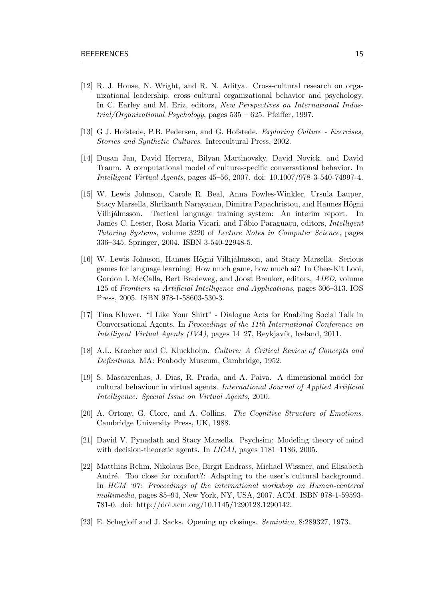- [12] R. J. House, N. Wright, and R. N. Aditya. Cross-cultural research on organizational leadership. cross cultural organizational behavior and psychology. In C. Earley and M. Eriz, editors, New Perspectives on International Industrial/Organizational Psychology, pages 535 – 625. Pfeiffer, 1997.
- [13] G J. Hofstede, P.B. Pedersen, and G. Hofstede. Exploring Culture Exercises, Stories and Synthetic Cultures. Intercultural Press, 2002.
- [14] Dusan Jan, David Herrera, Bilyan Martinovsky, David Novick, and David Traum. A computational model of culture-specific conversational behavior. In Intelligent Virtual Agents, pages 45–56, 2007. doi: 10.1007/978-3-540-74997-4.
- [15] W. Lewis Johnson, Carole R. Beal, Anna Fowles-Winkler, Ursula Lauper, Stacy Marsella, Shrikanth Narayanan, Dimitra Papachristou, and Hannes Högni Vilhjálmsson. Tactical language training system: An interim report. In James C. Lester, Rosa Maria Vicari, and Fábio Paraguaçu, editors, *Intelligent* Tutoring Systems, volume 3220 of Lecture Notes in Computer Science, pages 336–345. Springer, 2004. ISBN 3-540-22948-5.
- [16] W. Lewis Johnson, Hannes Högni Vilhjálmsson, and Stacy Marsella. Serious games for language learning: How much game, how much ai? In Chee-Kit Looi, Gordon I. McCalla, Bert Bredeweg, and Joost Breuker, editors, AIED, volume 125 of Frontiers in Artificial Intelligence and Applications, pages 306–313. IOS Press, 2005. ISBN 978-1-58603-530-3.
- [17] Tina Kluwer. "I Like Your Shirt" Dialogue Acts for Enabling Social Talk in Conversational Agents. In Proceedings of the 11th International Conference on Intelligent Virtual Agents (IVA), pages 14–27, Reykjavík, Iceland, 2011.
- [18] A.L. Kroeber and C. Kluckhohn. Culture: A Critical Review of Concepts and Definitions. MA: Peabody Museum, Cambridge, 1952.
- [19] S. Mascarenhas, J. Dias, R. Prada, and A. Paiva. A dimensional model for cultural behaviour in virtual agents. International Journal of Applied Artificial Intelligence: Special Issue on Virtual Agents, 2010.
- [20] A. Ortony, G. Clore, and A. Collins. The Cognitive Structure of Emotions. Cambridge University Press, UK, 1988.
- [21] David V. Pynadath and Stacy Marsella. Psychsim: Modeling theory of mind with decision-theoretic agents. In *IJCAI*, pages 1181–1186, 2005.
- [22] Matthias Rehm, Nikolaus Bee, Birgit Endrass, Michael Wissner, and Elisabeth André. Too close for comfort?: Adapting to the user's cultural background. In HCM '07: Proceedings of the international workshop on Human-centered multimedia, pages 85–94, New York, NY, USA, 2007. ACM. ISBN 978-1-59593- 781-0. doi: http://doi.acm.org/10.1145/1290128.1290142.
- [23] E. Schegloff and J. Sacks. Opening up closings. Semiotica, 8:289327, 1973.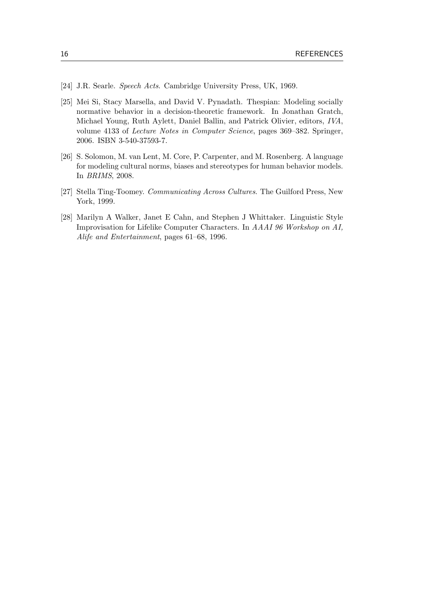- [24] J.R. Searle. Speech Acts. Cambridge University Press, UK, 1969.
- [25] Mei Si, Stacy Marsella, and David V. Pynadath. Thespian: Modeling socially normative behavior in a decision-theoretic framework. In Jonathan Gratch, Michael Young, Ruth Aylett, Daniel Ballin, and Patrick Olivier, editors, IVA, volume 4133 of Lecture Notes in Computer Science, pages 369–382. Springer, 2006. ISBN 3-540-37593-7.
- [26] S. Solomon, M. van Lent, M. Core, P. Carpenter, and M. Rosenberg. A language for modeling cultural norms, biases and stereotypes for human behavior models. In BRIMS, 2008.
- [27] Stella Ting-Toomey. Communicating Across Cultures. The Guilford Press, New York, 1999.
- [28] Marilyn A Walker, Janet E Cahn, and Stephen J Whittaker. Linguistic Style Improvisation for Lifelike Computer Characters. In AAAI 96 Workshop on AI, Alife and Entertainment, pages 61–68, 1996.